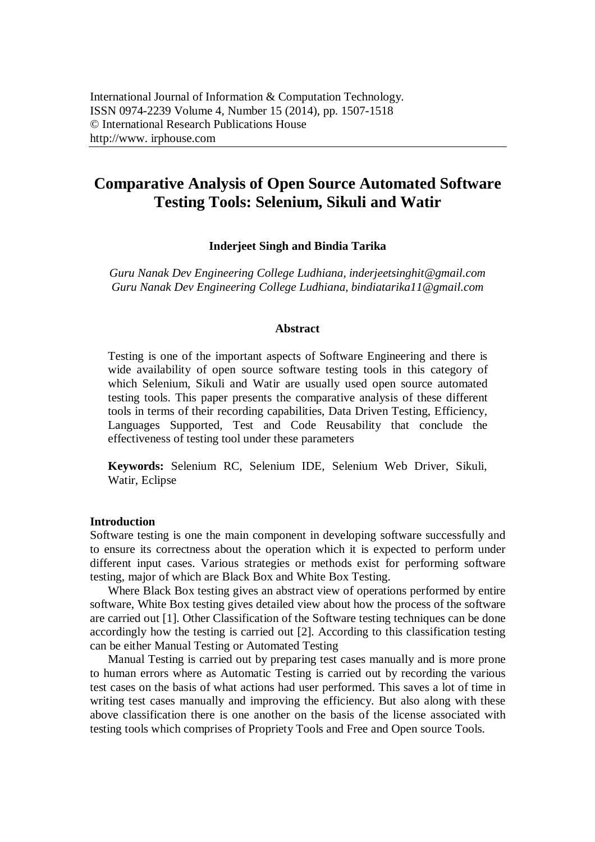# **Comparative Analysis of Open Source Automated Software Testing Tools: Selenium, Sikuli and Watir**

#### **Inderjeet Singh and Bindia Tarika**

*Guru Nanak Dev Engineering College Ludhiana, inderjeetsinghit@gmail.com Guru Nanak Dev Engineering College Ludhiana, bindiatarika11@gmail.com*

#### **Abstract**

Testing is one of the important aspects of Software Engineering and there is wide availability of open source software testing tools in this category of which Selenium, Sikuli and Watir are usually used open source automated testing tools. This paper presents the comparative analysis of these different tools in terms of their recording capabilities, Data Driven Testing, Efficiency, Languages Supported, Test and Code Reusability that conclude the effectiveness of testing tool under these parameters

**Keywords:** Selenium RC, Selenium IDE, Selenium Web Driver, Sikuli, Watir, Eclipse

#### **Introduction**

Software testing is one the main component in developing software successfully and to ensure its correctness about the operation which it is expected to perform under different input cases. Various strategies or methods exist for performing software testing, major of which are Black Box and White Box Testing.

Where Black Box testing gives an abstract view of operations performed by entire software, White Box testing gives detailed view about how the process of the software are carried out [1]. Other Classification of the Software testing techniques can be done accordingly how the testing is carried out [2]. According to this classification testing can be either Manual Testing or Automated Testing

Manual Testing is carried out by preparing test cases manually and is more prone to human errors where as Automatic Testing is carried out by recording the various test cases on the basis of what actions had user performed. This saves a lot of time in writing test cases manually and improving the efficiency. But also along with these above classification there is one another on the basis of the license associated with testing tools which comprises of Propriety Tools and Free and Open source Tools.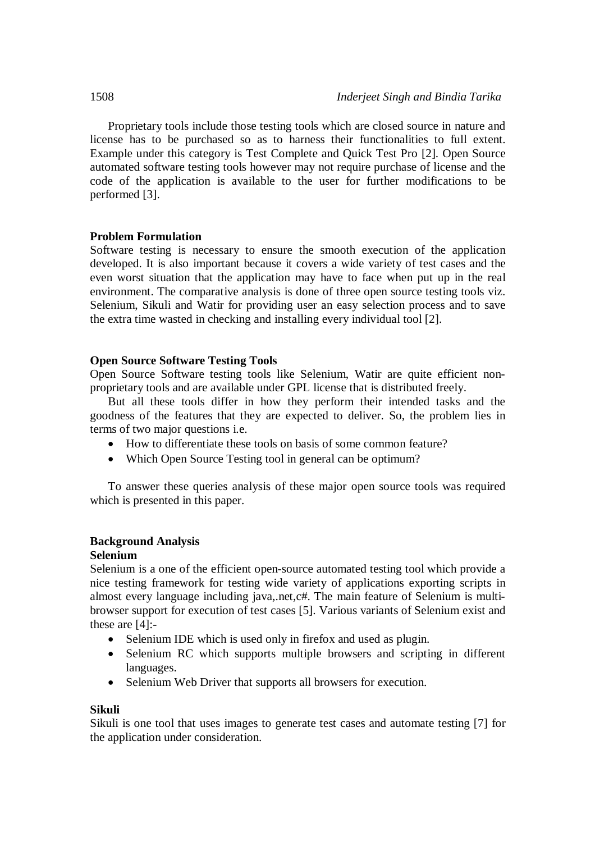Proprietary tools include those testing tools which are closed source in nature and license has to be purchased so as to harness their functionalities to full extent. Example under this category is Test Complete and Quick Test Pro [2]. Open Source automated software testing tools however may not require purchase of license and the code of the application is available to the user for further modifications to be performed [3].

## **Problem Formulation**

Software testing is necessary to ensure the smooth execution of the application developed. It is also important because it covers a wide variety of test cases and the even worst situation that the application may have to face when put up in the real environment. The comparative analysis is done of three open source testing tools viz. Selenium, Sikuli and Watir for providing user an easy selection process and to save the extra time wasted in checking and installing every individual tool [2].

## **Open Source Software Testing Tools**

Open Source Software testing tools like Selenium, Watir are quite efficient nonproprietary tools and are available under GPL license that is distributed freely.

But all these tools differ in how they perform their intended tasks and the goodness of the features that they are expected to deliver. So, the problem lies in terms of two major questions i.e.

- How to differentiate these tools on basis of some common feature?
- Which Open Source Testing tool in general can be optimum?

To answer these queries analysis of these major open source tools was required which is presented in this paper.

## **Background Analysis**

## **Selenium**

Selenium is a one of the efficient open-source automated testing tool which provide a nice testing framework for testing wide variety of applications exporting scripts in almost every language including java,.net,c#. The main feature of Selenium is multibrowser support for execution of test cases [5]. Various variants of Selenium exist and these are [4]:-

- Selenium IDE which is used only in firefox and used as plugin.
- Selenium RC which supports multiple browsers and scripting in different languages.
- Selenium Web Driver that supports all browsers for execution.

## **Sikuli**

Sikuli is one tool that uses images to generate test cases and automate testing [7] for the application under consideration.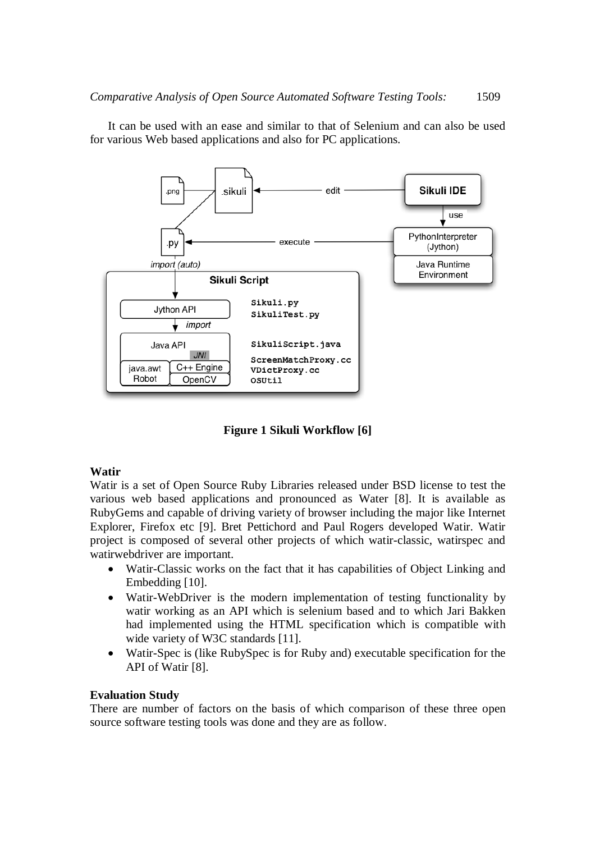

It can be used with an ease and similar to that of Selenium and can also be used for various Web based applications and also for PC applications.

**Figure 1 Sikuli Workflow [6]**

## **Watir**

Watir is a set of Open Source Ruby Libraries released under BSD license to test the various web based applications and pronounced as Water [8]. It is available as RubyGems and capable of driving variety of browser including the major like Internet Explorer, Firefox etc [9]. Bret Pettichord and Paul Rogers developed Watir. Watir project is composed of several other projects of which watir-classic, watirspec and watirwebdriver are important.

- Watir-Classic works on the fact that it has capabilities of Object Linking and Embedding [10].
- Watir-WebDriver is the modern implementation of testing functionality by watir working as an API which is selenium based and to which Jari Bakken had implemented using the HTML specification which is compatible with wide variety of W3C standards [11].
- Watir-Spec is (like RubySpec is for Ruby and) executable specification for the API of Watir [8].

## **Evaluation Study**

There are number of factors on the basis of which comparison of these three open source software testing tools was done and they are as follow.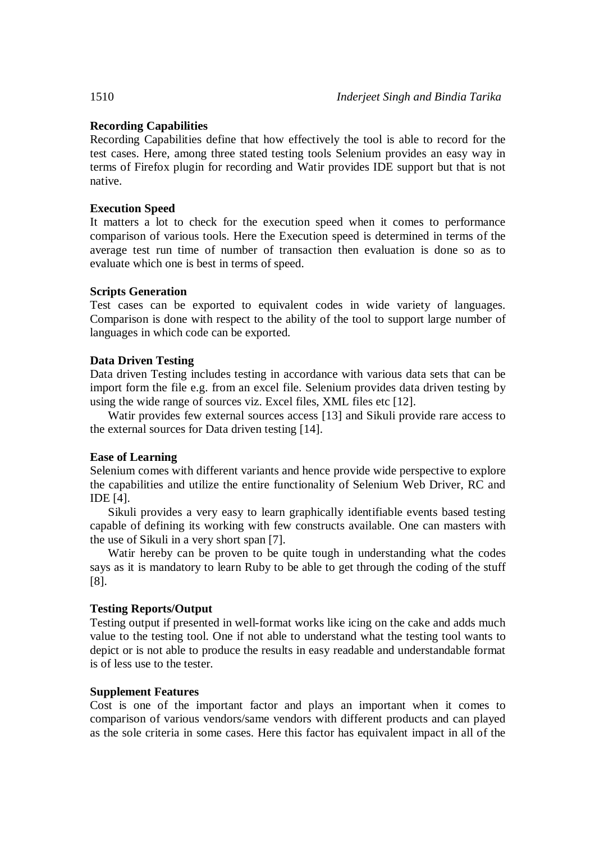## **Recording Capabilities**

Recording Capabilities define that how effectively the tool is able to record for the test cases. Here, among three stated testing tools Selenium provides an easy way in terms of Firefox plugin for recording and Watir provides IDE support but that is not native.

## **Execution Speed**

It matters a lot to check for the execution speed when it comes to performance comparison of various tools. Here the Execution speed is determined in terms of the average test run time of number of transaction then evaluation is done so as to evaluate which one is best in terms of speed.

## **Scripts Generation**

Test cases can be exported to equivalent codes in wide variety of languages. Comparison is done with respect to the ability of the tool to support large number of languages in which code can be exported.

## **Data Driven Testing**

Data driven Testing includes testing in accordance with various data sets that can be import form the file e.g. from an excel file. Selenium provides data driven testing by using the wide range of sources viz. Excel files, XML files etc [12].

Watir provides few external sources access [13] and Sikuli provide rare access to the external sources for Data driven testing [14].

## **Ease of Learning**

Selenium comes with different variants and hence provide wide perspective to explore the capabilities and utilize the entire functionality of Selenium Web Driver, RC and IDE [4].

Sikuli provides a very easy to learn graphically identifiable events based testing capable of defining its working with few constructs available. One can masters with the use of Sikuli in a very short span [7].

Watir hereby can be proven to be quite tough in understanding what the codes says as it is mandatory to learn Ruby to be able to get through the coding of the stuff [8].

## **Testing Reports/Output**

Testing output if presented in well-format works like icing on the cake and adds much value to the testing tool. One if not able to understand what the testing tool wants to depict or is not able to produce the results in easy readable and understandable format is of less use to the tester.

## **Supplement Features**

Cost is one of the important factor and plays an important when it comes to comparison of various vendors/same vendors with different products and can played as the sole criteria in some cases. Here this factor has equivalent impact in all of the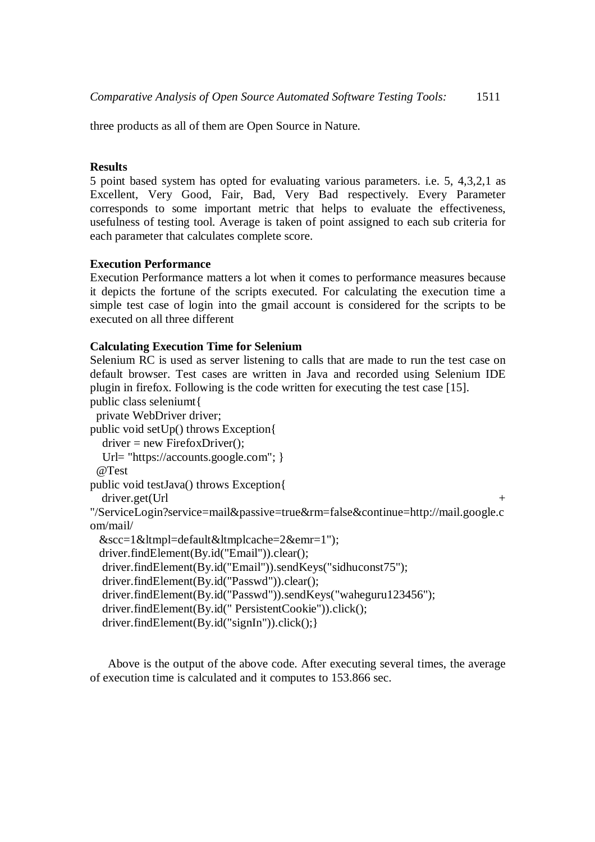three products as all of them are Open Source in Nature.

#### **Results**

5 point based system has opted for evaluating various parameters. i.e. 5, 4,3,2,1 as Excellent, Very Good, Fair, Bad, Very Bad respectively. Every Parameter corresponds to some important metric that helps to evaluate the effectiveness, usefulness of testing tool. Average is taken of point assigned to each sub criteria for each parameter that calculates complete score.

## **Execution Performance**

Execution Performance matters a lot when it comes to performance measures because it depicts the fortune of the scripts executed. For calculating the execution time a simple test case of login into the gmail account is considered for the scripts to be executed on all three different

#### **Calculating Execution Time for Selenium**

Selenium RC is used as server listening to calls that are made to run the test case on default browser. Test cases are written in Java and recorded using Selenium IDE plugin in firefox. Following is the code written for executing the test case [15]. public class seleniumt{

 private WebDriver driver; public void setUp() throws Exception{  $\text{driver} = \text{new Firefox} \cdot \text{Directory)}$ ; Url= "https://accounts.google.com"; } @Test public void testJava() throws Exception{ driver.get(Url + "/ServiceLogin?service=mail&passive=true&rm=false&continue=http://mail.google.c om/mail/  $&sec=1tmpl=default $tmplcache=2 $&textl$ ");$$  driver.findElement(By.id("Email")).clear(); driver.findElement(By.id("Email")).sendKeys("sidhuconst75"); driver.findElement(By.id("Passwd")).clear(); driver.findElement(By.id("Passwd")).sendKeys("waheguru123456"); driver.findElement(By.id(" PersistentCookie")).click(); driver.findElement(By.id("signIn")).click();}

Above is the output of the above code. After executing several times, the average of execution time is calculated and it computes to 153.866 sec.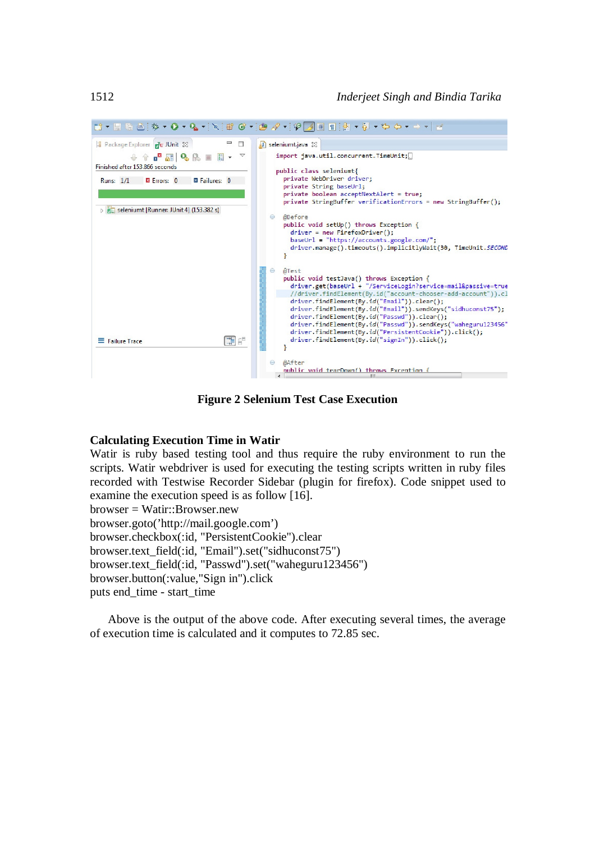1512 *Inderjeet Singh and Bindia Tarika*



**Figure 2 Selenium Test Case Execution**

#### **Calculating Execution Time in Watir**

Watir is ruby based testing tool and thus require the ruby environment to run the scripts. Watir webdriver is used for executing the testing scripts written in ruby files recorded with Testwise Recorder Sidebar (plugin for firefox). Code snippet used to examine the execution speed is as follow [16].  $b$ rowser = Watir::Browser.new browser.goto('http://mail.google.com') browser.checkbox(:id, "PersistentCookie").clear browser.text\_field(:id, "Email").set("sidhuconst75") browser.text\_field(:id, "Passwd").set("waheguru123456") browser.button(:value,"Sign in").click puts end\_time - start\_time

Above is the output of the above code. After executing several times, the average of execution time is calculated and it computes to 72.85 sec.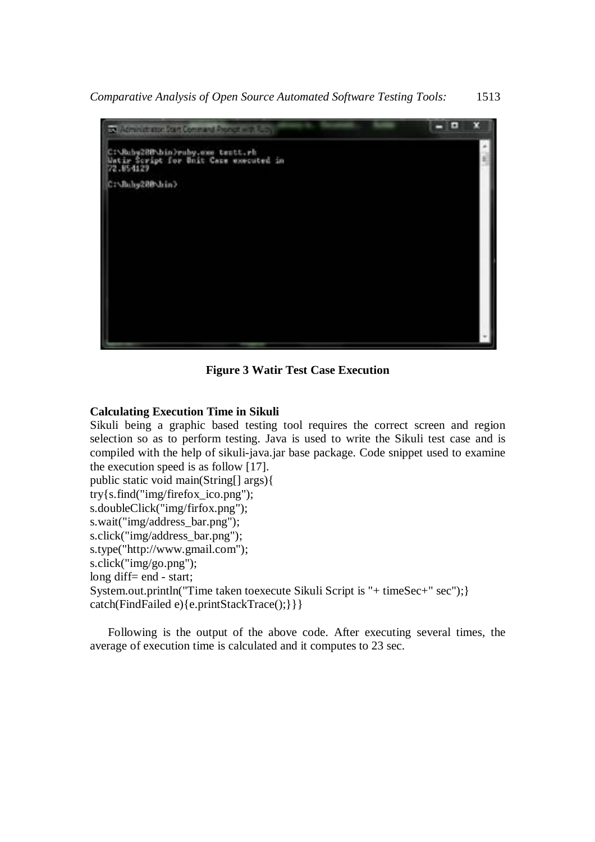

**Figure 3 Watir Test Case Execution**

## **Calculating Execution Time in Sikuli**

Sikuli being a graphic based testing tool requires the correct screen and region selection so as to perform testing. Java is used to write the Sikuli test case and is compiled with the help of sikuli-java.jar base package. Code snippet used to examine the execution speed is as follow [17]. public static void main(String[] args){ try{s.find("img/firefox\_ico.png"); s.doubleClick("img/firfox.png"); s.wait("img/address\_bar.png"); s.click("img/address\_bar.png"); s.type("http://www.gmail.com"); s.click("img/go.png"); long diff= end - start; System.out.println("Time taken toexecute Sikuli Script is "+ timeSec+" sec"); }

catch(FindFailed e){e.printStackTrace();}}}

Following is the output of the above code. After executing several times, the average of execution time is calculated and it computes to 23 sec.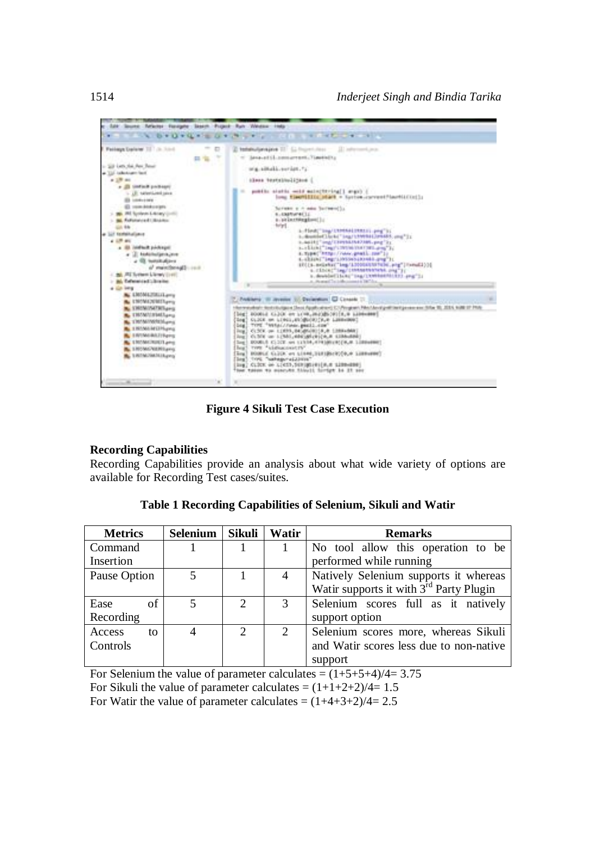

**Figure 4 Sikuli Test Case Execution**

## **Recording Capabilities**

Recording Capabilities provide an analysis about what wide variety of options are available for Recording Test cases/suites.

| <b>Metrics</b> | <b>Selenium</b>         | Sikuli                      | Watir          | <b>Remarks</b>                                      |
|----------------|-------------------------|-----------------------------|----------------|-----------------------------------------------------|
| Command        |                         |                             |                | No tool allow this operation to be                  |
| Insertion      |                         |                             |                | performed while running                             |
| Pause Option   | $\overline{\mathbf{z}}$ |                             | $\overline{4}$ | Natively Selenium supports it whereas               |
|                |                         |                             |                | Watir supports it with 3 <sup>rd</sup> Party Plugin |
| of<br>Ease     | $\overline{\mathbf{5}}$ | $\mathcal{D}_{\mathcal{L}}$ |                | Selenium scores full as it natively                 |
| Recording      |                         |                             |                | support option                                      |
| Access<br>to   |                         | $\mathcal{D}_{\mathcal{L}}$ | 2              | Selenium scores more, whereas Sikuli                |
| Controls       |                         |                             |                | and Watir scores less due to non-native             |
|                |                         |                             |                | support                                             |

**Table 1 Recording Capabilities of Selenium, Sikuli and Watir**

For Selenium the value of parameter calculates =  $(1+5+5+4)/4=3.75$ For Sikuli the value of parameter calculates =  $(1+1+2+2)/4=1.5$ For Watir the value of parameter calculates =  $(1+4+3+2)/4=2.5$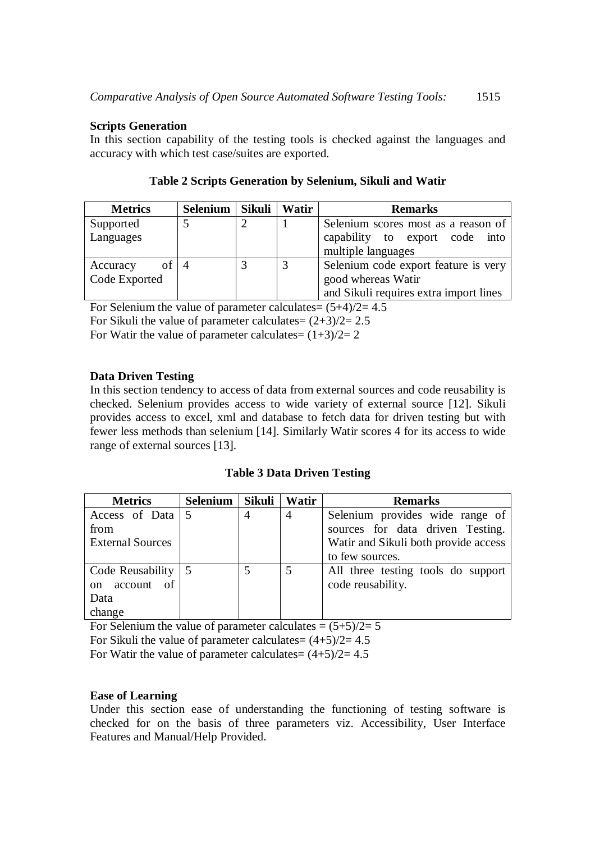## **Scripts Generation**

In this section capability of the testing tools is checked against the languages and accuracy with which test case/suites are exported.

| <b>Metrics</b> | Selenium   Sikuli | Watir | <b>Remarks</b>                         |  |
|----------------|-------------------|-------|----------------------------------------|--|
| Supported      |                   |       | Selenium scores most as a reason of    |  |
| Languages      |                   |       | capability to export code<br>into      |  |
|                |                   |       | multiple languages                     |  |
| of<br>Accuracy |                   |       | Selenium code export feature is very   |  |
| Code Exported  |                   |       | good whereas Watir                     |  |
|                |                   |       | and Sikuli requires extra import lines |  |

| Table 2 Scripts Generation by Selenium, Sikuli and Watir |  |  |  |  |  |  |
|----------------------------------------------------------|--|--|--|--|--|--|
|----------------------------------------------------------|--|--|--|--|--|--|

For Selenium the value of parameter calculates=  $(5+4)/2= 4.5$ For Sikuli the value of parameter calculates=  $(2+3)/2= 2.5$ For Watir the value of parameter calculates=  $(1+3)/2=2$ 

## **Data Driven Testing**

In this section tendency to access of data from external sources and code reusability is checked. Selenium provides access to wide variety of external source [12]. Sikuli provides access to excel, xml and database to fetch data for driven testing but with fewer less methods than selenium [14]. Similarly Watir scores 4 for its access to wide range of external sources [13].

**Table 3 Data Driven Testing**

| <b>Metrics</b>                   | Selenium   Sikuli |   | Watir | <b>Remarks</b>                       |
|----------------------------------|-------------------|---|-------|--------------------------------------|
| Access of Data $\vert 5 \vert$   |                   | 4 | 4     | Selenium provides wide range of      |
| from                             |                   |   |       | sources for data driven Testing.     |
| <b>External Sources</b>          |                   |   |       | Watir and Sikuli both provide access |
|                                  |                   |   |       | to few sources.                      |
| Code Reusability $\vert 5 \vert$ |                   | 5 |       | All three testing tools do support   |
| account of<br>$\alpha$           |                   |   |       | code reusability.                    |
| Data                             |                   |   |       |                                      |
| change                           |                   |   |       |                                      |

For Selenium the value of parameter calculates  $= (5+5)/2 = 5$ For Sikuli the value of parameter calculates=  $(4+5)/2= 4.5$ 

For Watir the value of parameter calculates=  $(4+5)/2= 4.5$ 

## **Ease of Learning**

Under this section ease of understanding the functioning of testing software is checked for on the basis of three parameters viz. Accessibility, User Interface Features and Manual/Help Provided.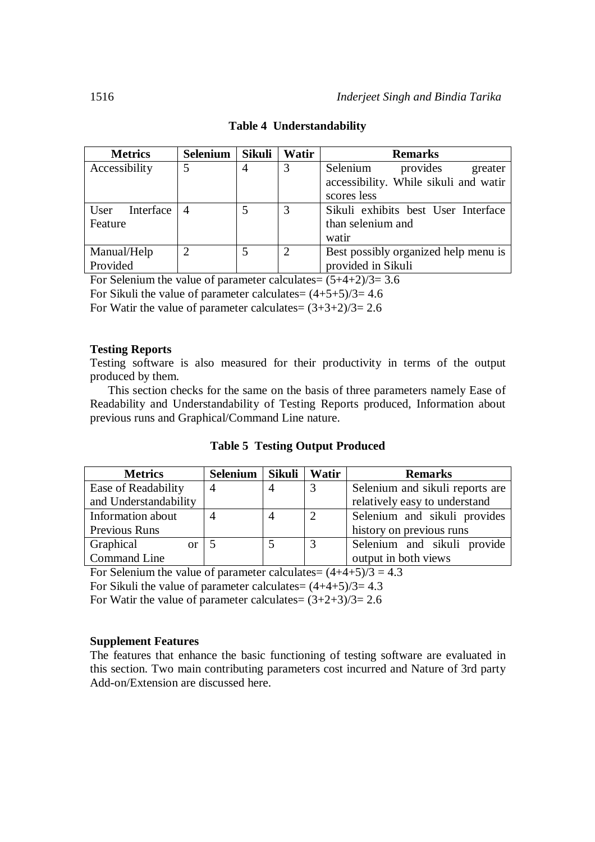| <b>Metrics</b>    | Selenium       | <b>Sikuli</b> | Watir          | <b>Remarks</b>                        |
|-------------------|----------------|---------------|----------------|---------------------------------------|
| Accessibility     | $\overline{5}$ | 4             | 3              | Selenium<br>provides<br>greater       |
|                   |                |               |                | accessibility. While sikuli and watir |
|                   |                |               |                | scores less                           |
| Interface<br>User | $\overline{A}$ |               | 3              | Sikuli exhibits best User Interface   |
| Feature           |                |               |                | than selenium and                     |
|                   |                |               |                | watir                                 |
| Manual/Help       |                |               | $\overline{2}$ | Best possibly organized help menu is  |
| Provided          |                |               |                | provided in Sikuli                    |

## **Table 4 Understandability**

For Selenium the value of parameter calculates=  $(5+4+2)/3=3.6$ 

For Sikuli the value of parameter calculates=  $(4+5+5)/3=4.6$ 

For Watir the value of parameter calculates=  $(3+3+2)/3= 2.6$ 

## **Testing Reports**

Testing software is also measured for their productivity in terms of the output produced by them.

This section checks for the same on the basis of three parameters namely Ease of Readability and Understandability of Testing Reports produced, Information about previous runs and Graphical/Command Line nature.

|  |  |  | <b>Table 5 Testing Output Produced</b> |
|--|--|--|----------------------------------------|
|--|--|--|----------------------------------------|

| <b>Metrics</b>             | Selenium | Sikuli         | Watir | <b>Remarks</b>                  |
|----------------------------|----------|----------------|-------|---------------------------------|
| Ease of Readability        |          | 4              |       | Selenium and sikuli reports are |
| and Understandability      |          |                |       | relatively easy to understand   |
| Information about          |          | $\overline{A}$ | ∍     | Selenium and sikuli provides    |
| Previous Runs              |          |                |       | history on previous runs        |
| Graphical<br><sub>or</sub> |          |                |       | Selenium and sikuli provide     |
| Command Line               |          |                |       | output in both views            |

For Selenium the value of parameter calculates=  $(4+4+5)/3 = 4.3$ 

For Sikuli the value of parameter calculates=  $(4+4+5)/3=4.3$ 

For Watir the value of parameter calculates=  $(3+2+3)/3= 2.6$ 

## **Supplement Features**

The features that enhance the basic functioning of testing software are evaluated in this section. Two main contributing parameters cost incurred and Nature of 3rd party Add-on/Extension are discussed here.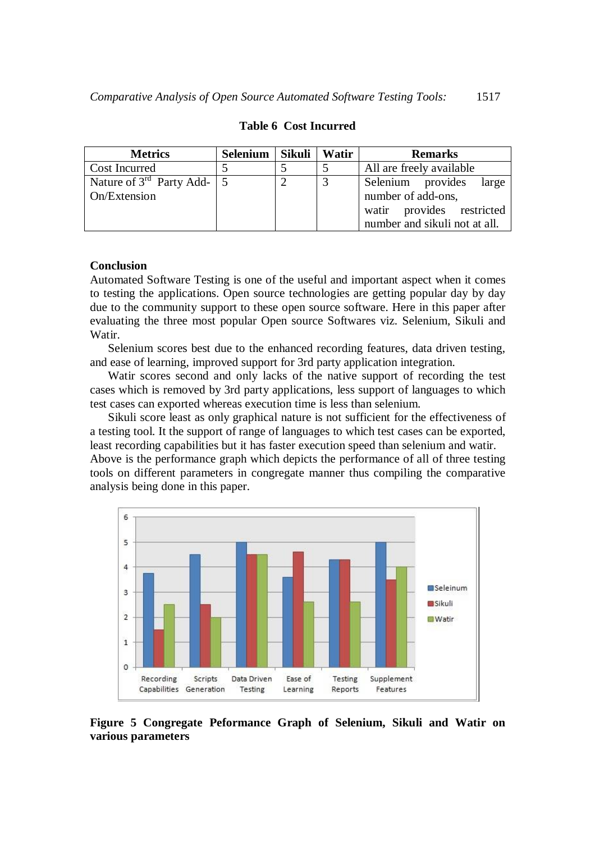| <b>Metrics</b>                    | Selenium | Sikuli | Watir | <b>Remarks</b>                |
|-----------------------------------|----------|--------|-------|-------------------------------|
| <b>Cost Incurred</b>              |          |        |       | All are freely available      |
| Nature of $3^{rd}$ Party Add-   5 |          |        | 3     | Selenium provides<br>large    |
| On/Extension                      |          |        |       | number of add-ons,            |
|                                   |          |        |       | watir provides restricted     |
|                                   |          |        |       | number and sikuli not at all. |

#### **Table 6 Cost Incurred**

#### **Conclusion**

Automated Software Testing is one of the useful and important aspect when it comes to testing the applications. Open source technologies are getting popular day by day due to the community support to these open source software. Here in this paper after evaluating the three most popular Open source Softwares viz. Selenium, Sikuli and Watir.

Selenium scores best due to the enhanced recording features, data driven testing, and ease of learning, improved support for 3rd party application integration.

Watir scores second and only lacks of the native support of recording the test cases which is removed by 3rd party applications, less support of languages to which test cases can exported whereas execution time is less than selenium.

Sikuli score least as only graphical nature is not sufficient for the effectiveness of a testing tool. It the support of range of languages to which test cases can be exported, least recording capabilities but it has faster execution speed than selenium and watir. Above is the performance graph which depicts the performance of all of three testing tools on different parameters in congregate manner thus compiling the comparative analysis being done in this paper.



**Figure 5 Congregate Peformance Graph of Selenium, Sikuli and Watir on various parameters**